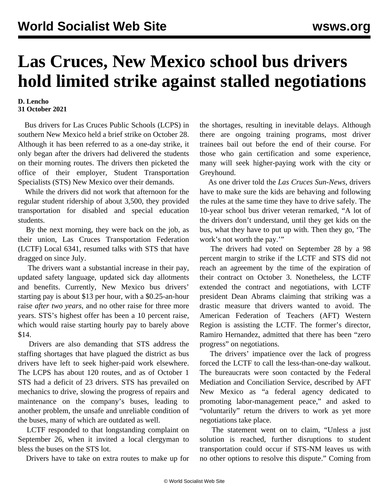## **Las Cruces, New Mexico school bus drivers hold limited strike against stalled negotiations**

## **D. Lencho 31 October 2021**

 Bus drivers for Las Cruces Public Schools (LCPS) in southern New Mexico held a brief strike on October 28. Although it has been referred to as a one-day strike, it only began after the drivers had delivered the students on their morning routes. The drivers then picketed the office of their employer, Student Transportation Specialists (STS) New Mexico over their demands.

 While the drivers did not work that afternoon for the regular student ridership of about 3,500, they provided transportation for disabled and special education students.

 By the next morning, they were back on the job, as their union, Las Cruces Transportation Federation (LCTF) Local 6341, resumed talks with STS that have dragged on since July.

 The drivers want a substantial increase in their pay, updated safety language, updated sick day allotments and benefits. Currently, New Mexico bus drivers' starting pay is about \$13 per hour, with a \$0.25-an-hour raise *after two years*, and no other raise for three more years. STS's highest offer has been a 10 percent raise, which would raise starting hourly pay to barely above \$14.

 Drivers are also demanding that STS address the staffing shortages that have plagued the district as bus drivers have left to seek higher-paid work elsewhere. The LCPS has about 120 routes, and as of October 1 STS had a deficit of 23 drivers. STS has prevailed on mechanics to drive, slowing the progress of repairs and maintenance on the company's buses, leading to another problem, the unsafe and unreliable condition of the buses, many of which are outdated as well.

 LCTF responded to that longstanding complaint on September 26, when it invited a local clergyman to bless the buses on the STS lot.

Drivers have to take on extra routes to make up for

the shortages, resulting in inevitable delays. Although there are ongoing training programs, most driver trainees bail out before the end of their course. For those who gain certification and some experience, many will seek higher-paying work with the city or Greyhound.

 As one driver told the *Las Cruces Sun-News,* drivers have to make sure the kids are behaving and following the rules at the same time they have to drive safely. The 10-year school bus driver veteran remarked, "A lot of the drivers don't understand, until they get kids on the bus, what they have to put up with. Then they go, 'The work's not worth the pay."

 The drivers had voted on September 28 by a 98 percent margin to strike if the LCTF and STS did not reach an agreement by the time of the expiration of their contract on October 3. Nonetheless, the LCTF extended the contract and negotiations, with LCTF president Dean Abrams claiming that striking was a drastic measure that drivers wanted to avoid. The American Federation of Teachers (AFT) Western Region is assisting the LCTF. The former's director, Ramiro Hernandez, admitted that there has been "zero progress" on negotiations.

 The drivers' impatience over the lack of progress forced the LCTF to call the less-than-one-day walkout. The bureaucrats were soon contacted by the Federal Mediation and Conciliation Service, described by AFT New Mexico as "a federal agency dedicated to promoting labor-management peace," and asked to "voluntarily" return the drivers to work as yet more negotiations take place.

 The statement went on to claim, "Unless a just solution is reached, further disruptions to student transportation could occur if STS-NM leaves us with no other options to resolve this dispute." Coming from